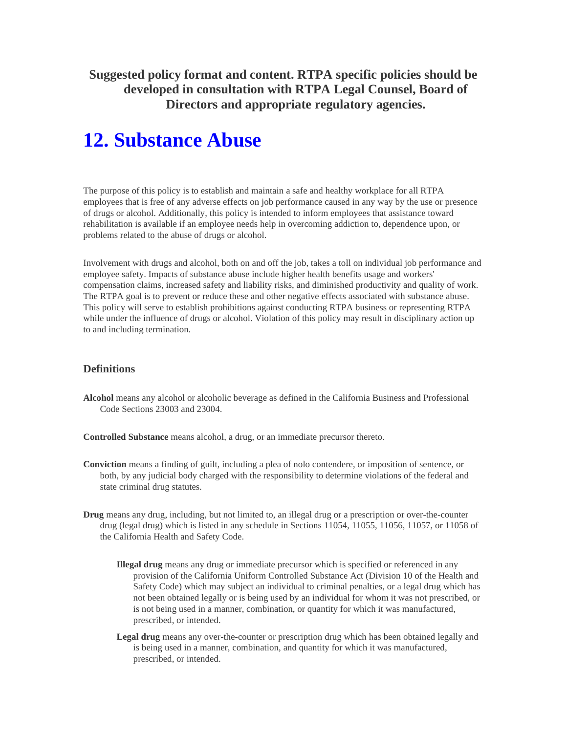**Suggested policy format and content. RTPA specific policies should be developed in consultation with RTPA Legal Counsel, Board of Directors and appropriate regulatory agencies.** 

# **12. Substance Abuse**

The purpose of this policy is to establish and maintain a safe and healthy workplace for all RTPA employees that is free of any adverse effects on job performance caused in any way by the use or presence of drugs or alcohol. Additionally, this policy is intended to inform employees that assistance toward rehabilitation is available if an employee needs help in overcoming addiction to, dependence upon, or problems related to the abuse of drugs or alcohol.

Involvement with drugs and alcohol, both on and off the job, takes a toll on individual job performance and employee safety. Impacts of substance abuse include higher health benefits usage and workers' compensation claims, increased safety and liability risks, and diminished productivity and quality of work. The RTPA goal is to prevent or reduce these and other negative effects associated with substance abuse. This policy will serve to establish prohibitions against conducting RTPA business or representing RTPA while under the influence of drugs or alcohol. Violation of this policy may result in disciplinary action up to and including termination.

#### **Definitions**

**Alcohol** means any alcohol or alcoholic beverage as defined in the California Business and Professional Code Sections 23003 and 23004.

**Controlled Substance** means alcohol, a drug, or an immediate precursor thereto.

- **Conviction** means a finding of guilt, including a plea of nolo contendere, or imposition of sentence, or both, by any judicial body charged with the responsibility to determine violations of the federal and state criminal drug statutes.
- **Drug** means any drug, including, but not limited to, an illegal drug or a prescription or over-the-counter drug (legal drug) which is listed in any schedule in Sections 11054, 11055, 11056, 11057, or 11058 of the California Health and Safety Code.
	- **Illegal drug** means any drug or immediate precursor which is specified or referenced in any provision of the California Uniform Controlled Substance Act (Division 10 of the Health and Safety Code) which may subject an individual to criminal penalties, or a legal drug which has not been obtained legally or is being used by an individual for whom it was not prescribed, or is not being used in a manner, combination, or quantity for which it was manufactured, prescribed, or intended.
	- **Legal drug** means any over-the-counter or prescription drug which has been obtained legally and is being used in a manner, combination, and quantity for which it was manufactured, prescribed, or intended.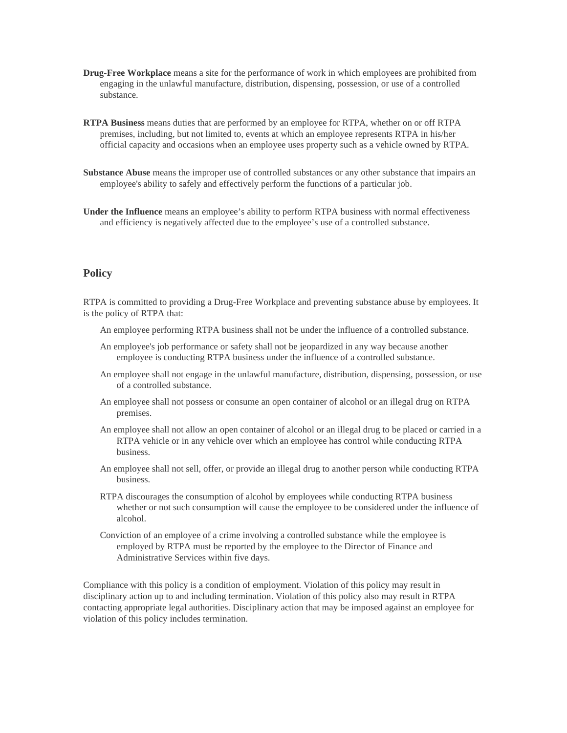- **Drug-Free Workplace** means a site for the performance of work in which employees are prohibited from engaging in the unlawful manufacture, distribution, dispensing, possession, or use of a controlled substance.
- **RTPA Business** means duties that are performed by an employee for RTPA, whether on or off RTPA premises, including, but not limited to, events at which an employee represents RTPA in his/her official capacity and occasions when an employee uses property such as a vehicle owned by RTPA.
- **Substance Abuse** means the improper use of controlled substances or any other substance that impairs an employee's ability to safely and effectively perform the functions of a particular job.
- **Under the Influence** means an employee's ability to perform RTPA business with normal effectiveness and efficiency is negatively affected due to the employee's use of a controlled substance.

#### **Policy**

RTPA is committed to providing a Drug-Free Workplace and preventing substance abuse by employees. It is the policy of RTPA that:

- An employee performing RTPA business shall not be under the influence of a controlled substance.
- An employee's job performance or safety shall not be jeopardized in any way because another employee is conducting RTPA business under the influence of a controlled substance.
- An employee shall not engage in the unlawful manufacture, distribution, dispensing, possession, or use of a controlled substance.
- An employee shall not possess or consume an open container of alcohol or an illegal drug on RTPA premises.
- An employee shall not allow an open container of alcohol or an illegal drug to be placed or carried in a RTPA vehicle or in any vehicle over which an employee has control while conducting RTPA business.
- An employee shall not sell, offer, or provide an illegal drug to another person while conducting RTPA business.
- RTPA discourages the consumption of alcohol by employees while conducting RTPA business whether or not such consumption will cause the employee to be considered under the influence of alcohol.
- Conviction of an employee of a crime involving a controlled substance while the employee is employed by RTPA must be reported by the employee to the Director of Finance and Administrative Services within five days.

Compliance with this policy is a condition of employment. Violation of this policy may result in disciplinary action up to and including termination. Violation of this policy also may result in RTPA contacting appropriate legal authorities. Disciplinary action that may be imposed against an employee for violation of this policy includes termination.